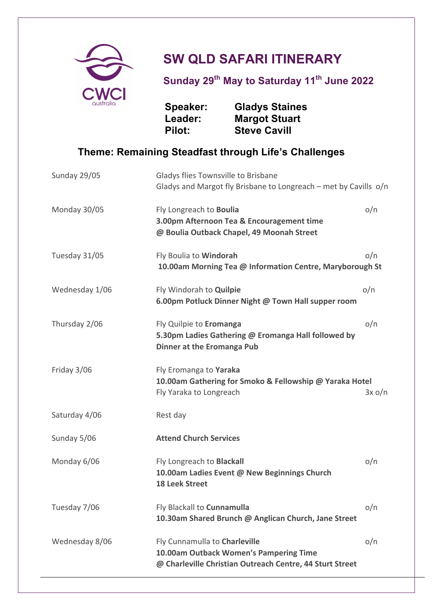

## **SW QLD SAFARI ITINERARY**

**Sunday 29th May to Saturday 11th June 2022**

**Speaker: Gladys Staines Leader: Margot Stuart Pilot: Steve Cavill**

## **Theme: Remaining Steadfast through Life's Challenges**

| Sunday 29/05   | Gladys flies Townsville to Brisbane<br>Gladys and Margot fly Brisbane to Longreach - met by Cavills o/n                             |        |
|----------------|-------------------------------------------------------------------------------------------------------------------------------------|--------|
|                |                                                                                                                                     |        |
| Monday 30/05   | Fly Longreach to Boulia<br>3.00pm Afternoon Tea & Encouragement time<br>@ Boulia Outback Chapel, 49 Moonah Street                   | o/n    |
| Tuesday 31/05  | Fly Boulia to Windorah<br>10.00am Morning Tea @ Information Centre, Maryborough St                                                  | o/n    |
| Wednesday 1/06 | Fly Windorah to Quilpie<br>6.00pm Potluck Dinner Night @ Town Hall supper room                                                      | o/n    |
| Thursday 2/06  | Fly Quilpie to Eromanga<br>5.30pm Ladies Gathering @ Eromanga Hall followed by<br><b>Dinner at the Eromanga Pub</b>                 | o/n    |
| Friday 3/06    | Fly Eromanga to Yaraka<br>10.00am Gathering for Smoko & Fellowship @ Yaraka Hotel<br>Fly Yaraka to Longreach                        | 3x o/n |
| Saturday 4/06  | Rest day                                                                                                                            |        |
| Sunday 5/06    | <b>Attend Church Services</b>                                                                                                       |        |
| Monday 6/06    | Fly Longreach to Blackall<br>10.00am Ladies Event @ New Beginnings Church<br><b>18 Leek Street</b>                                  | o/n    |
| Tuesday 7/06   | Fly Blackall to Cunnamulla<br>10.30am Shared Brunch @ Anglican Church, Jane Street                                                  | o/n    |
| Wednesday 8/06 | Fly Cunnamulla to Charleville<br>10.00am Outback Women's Pampering Time<br>@ Charleville Christian Outreach Centre, 44 Sturt Street | o/n    |